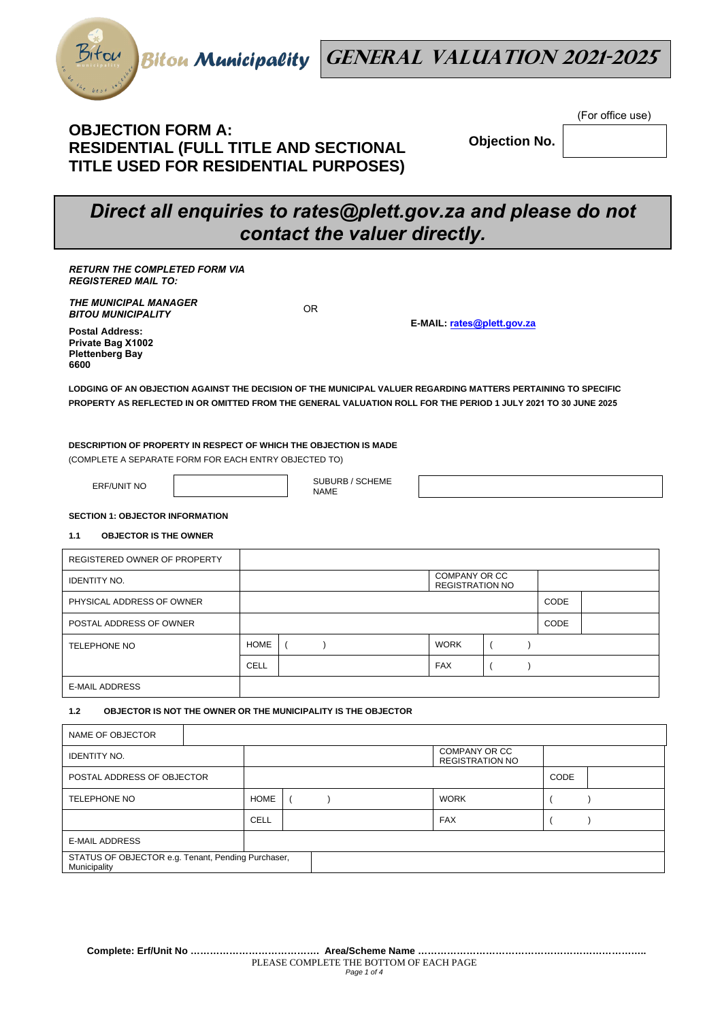

## **OBJECTION FORM A: RESIDENTIAL (FULL TITLE AND SECTIONAL TITLE USED FOR RESIDENTIAL PURPOSES)**

**Objection No.** 

(For office use)

# *Direct all enquiries to rates@plett.gov.za and please do not contact the valuer directly.*

| <b>RETURN THE COMPLETED FORM VIA</b><br><b>REGISTERED MAIL TO:</b>                                                                                                                                                              |             |                                |                                                |  |             |  |  |
|---------------------------------------------------------------------------------------------------------------------------------------------------------------------------------------------------------------------------------|-------------|--------------------------------|------------------------------------------------|--|-------------|--|--|
| <b>THE MUNICIPAL MANAGER</b><br><b>BITOU MUNICIPALITY</b>                                                                                                                                                                       |             | <b>OR</b>                      | E-MAIL: rates@plett.gov.za                     |  |             |  |  |
| <b>Postal Address:</b><br>Private Bag X1002<br><b>Plettenberg Bay</b><br>6600                                                                                                                                                   |             |                                |                                                |  |             |  |  |
| LODGING OF AN OBJECTION AGAINST THE DECISION OF THE MUNICIPAL VALUER REGARDING MATTERS PERTAINING TO SPECIFIC<br>PROPERTY AS REFLECTED IN OR OMITTED FROM THE GENERAL VALUATION ROLL FOR THE PERIOD 1 JULY 2021 TO 30 JUNE 2025 |             |                                |                                                |  |             |  |  |
| DESCRIPTION OF PROPERTY IN RESPECT OF WHICH THE OBJECTION IS MADE<br>(COMPLETE A SEPARATE FORM FOR EACH ENTRY OBJECTED TO)                                                                                                      |             |                                |                                                |  |             |  |  |
| <b>ERF/UNIT NO</b>                                                                                                                                                                                                              |             | SUBURB / SCHEME<br><b>NAME</b> |                                                |  |             |  |  |
| <b>SECTION 1: OBJECTOR INFORMATION</b>                                                                                                                                                                                          |             |                                |                                                |  |             |  |  |
| <b>OBJECTOR IS THE OWNER</b><br>1.1                                                                                                                                                                                             |             |                                |                                                |  |             |  |  |
| REGISTERED OWNER OF PROPERTY                                                                                                                                                                                                    |             |                                |                                                |  |             |  |  |
| <b>IDENTITY NO.</b>                                                                                                                                                                                                             |             |                                | <b>COMPANY OR CC</b><br><b>REGISTRATION NO</b> |  |             |  |  |
| PHYSICAL ADDRESS OF OWNER                                                                                                                                                                                                       |             |                                |                                                |  | CODE        |  |  |
| POSTAL ADDRESS OF OWNER                                                                                                                                                                                                         |             |                                |                                                |  | <b>CODE</b> |  |  |
| <b>TELEPHONE NO</b>                                                                                                                                                                                                             | <b>HOME</b> |                                | <b>WORK</b>                                    |  |             |  |  |

#### **1.2 OBJECTOR IS NOT THE OWNER OR THE MUNICIPALITY IS THE OBJECTOR**

E-MAIL ADDRESS

| NAME OF OBJECTOR                                                   |  |             |  |  |             |                                         |  |  |
|--------------------------------------------------------------------|--|-------------|--|--|-------------|-----------------------------------------|--|--|
| <b>IDENTITY NO.</b>                                                |  |             |  |  |             | COMPANY OR CC<br><b>REGISTRATION NO</b> |  |  |
| POSTAL ADDRESS OF OBJECTOR                                         |  |             |  |  |             | CODE                                    |  |  |
| <b>TELEPHONE NO</b>                                                |  | <b>HOME</b> |  |  | <b>WORK</b> |                                         |  |  |
|                                                                    |  | CELL        |  |  |             | <b>FAX</b>                              |  |  |
| <b>E-MAIL ADDRESS</b>                                              |  |             |  |  |             |                                         |  |  |
| STATUS OF OBJECTOR e.g. Tenant, Pending Purchaser,<br>Municipality |  |             |  |  |             |                                         |  |  |

CELL | CELL | FAX | ( )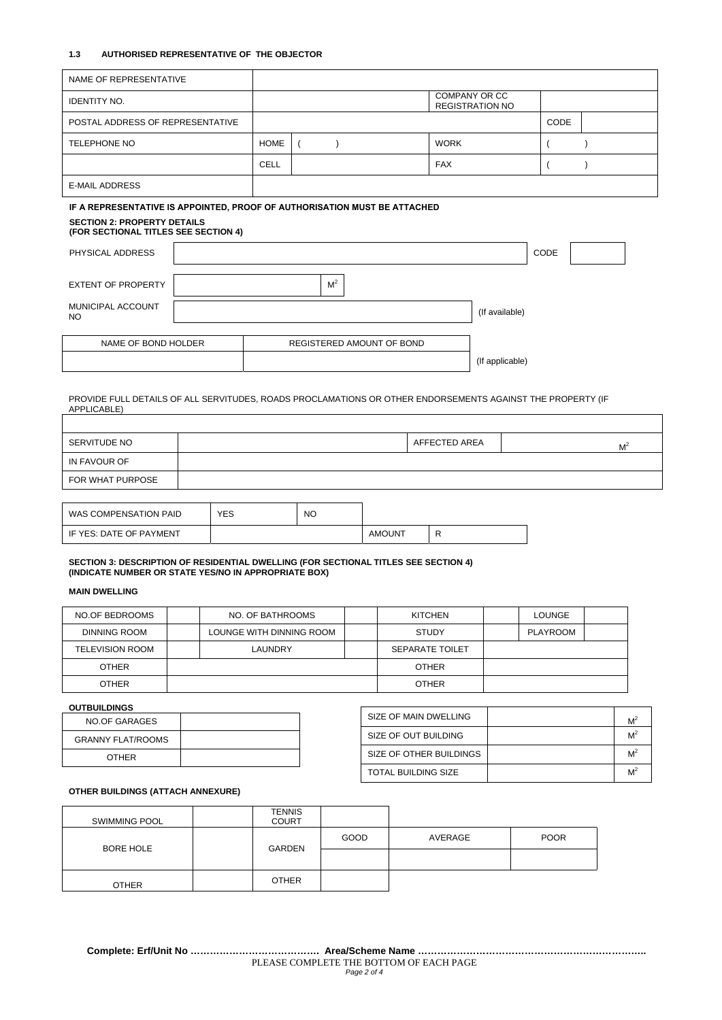#### **1.3 AUTHORISED REPRESENTATIVE OF THE OBJECTOR**

T

| NAME OF REPRESENTATIVE                                                                                                    |  |                      |            |                |                           |                        |             |  |  |
|---------------------------------------------------------------------------------------------------------------------------|--|----------------------|------------|----------------|---------------------------|------------------------|-------------|--|--|
| <b>IDENTITY NO.</b>                                                                                                       |  | <b>COMPANY OR CC</b> |            |                |                           | <b>REGISTRATION NO</b> |             |  |  |
| POSTAL ADDRESS OF REPRESENTATIVE                                                                                          |  |                      |            |                |                           |                        | <b>CODE</b> |  |  |
| <b>TELEPHONE NO</b>                                                                                                       |  | <b>HOME</b>          | $\sqrt{2}$ |                | <b>WORK</b>               |                        |             |  |  |
|                                                                                                                           |  | <b>CELL</b>          |            |                | <b>FAX</b>                |                        |             |  |  |
| <b>E-MAIL ADDRESS</b>                                                                                                     |  |                      |            |                |                           |                        |             |  |  |
| IF A REPRESENTATIVE IS APPOINTED, PROOF OF AUTHORISATION MUST BE ATTACHED                                                 |  |                      |            |                |                           |                        |             |  |  |
| <b>SECTION 2: PROPERTY DETAILS</b><br>(FOR SECTIONAL TITLES SEE SECTION 4)                                                |  |                      |            |                |                           |                        |             |  |  |
| PHYSICAL ADDRESS                                                                                                          |  |                      |            |                |                           |                        | CODE        |  |  |
| <b>EXTENT OF PROPERTY</b>                                                                                                 |  |                      |            | M <sup>2</sup> |                           |                        |             |  |  |
| MUNICIPAL ACCOUNT<br><b>NO</b>                                                                                            |  |                      |            |                |                           | (If available)         |             |  |  |
|                                                                                                                           |  |                      |            |                |                           |                        |             |  |  |
| NAME OF BOND HOLDER                                                                                                       |  |                      |            |                | REGISTERED AMOUNT OF BOND |                        |             |  |  |
|                                                                                                                           |  |                      |            |                |                           | (If applicable)        |             |  |  |
|                                                                                                                           |  |                      |            |                |                           |                        |             |  |  |
| PROVIDE FULL DETAILS OF ALL SERVITUDES, ROADS PROCLAMATIONS OR OTHER ENDORSEMENTS AGAINST THE PROPERTY (IF<br>APPLICABLE) |  |                      |            |                |                           |                        |             |  |  |

SERVITUDE NO AFFECTED AREA M<sup>2</sup> IN FAVOUR OF FOR WHAT PURPOSE

| WAS COMPENSATION PAID   | YES | <b>NO</b> |               |  |
|-------------------------|-----|-----------|---------------|--|
| IF YES: DATE OF PAYMENT |     |           | <b>AMOUNT</b> |  |

**SECTION 3: DESCRIPTION OF RESIDENTIAL DWELLING (FOR SECTIONAL TITLES SEE SECTION 4) (INDICATE NUMBER OR STATE YES/NO IN APPROPRIATE BOX)** 

## **MAIN DWELLING**

| NO OF BEDROOMS  | NO. OF BATHROOMS         |  | <b>KITCHEN</b>         |  | LOUNGE   |  |
|-----------------|--------------------------|--|------------------------|--|----------|--|
| DINNING ROOM    | LOUNGE WITH DINNING ROOM |  | <b>STUDY</b>           |  | PLAYROOM |  |
| TELEVISION ROOM | LAUNDRY                  |  | <b>SEPARATE TOILET</b> |  |          |  |
| <b>OTHER</b>    |                          |  | <b>OTHER</b>           |  |          |  |
| <b>OTHER</b>    |                          |  | <b>OTHER</b>           |  |          |  |

## **OUTBUILDINGS**

| NO OF GARAGES            |  |
|--------------------------|--|
| <b>GRANNY FLAT/ROOMS</b> |  |
| <b>OTHER</b>             |  |

| SIZE OF MAIN DWELLING      | $M^2$ |
|----------------------------|-------|
| SIZE OF OUT BUILDING       | $M^2$ |
| SIZE OF OTHER BUILDINGS    | $M^2$ |
| <b>TOTAL BUILDING SIZE</b> | $M^2$ |

## **OTHER BUILDINGS (ATTACH ANNEXURE)**

| <b>SWIMMING POOL</b> | <b>TENNIS</b><br><b>COURT</b> |      |         |             |
|----------------------|-------------------------------|------|---------|-------------|
| <b>BORE HOLE</b>     | GARDEN                        | GOOD | AVERAGE | <b>POOR</b> |
|                      |                               |      |         |             |
| <b>OTHER</b>         | <b>OTHER</b>                  |      |         |             |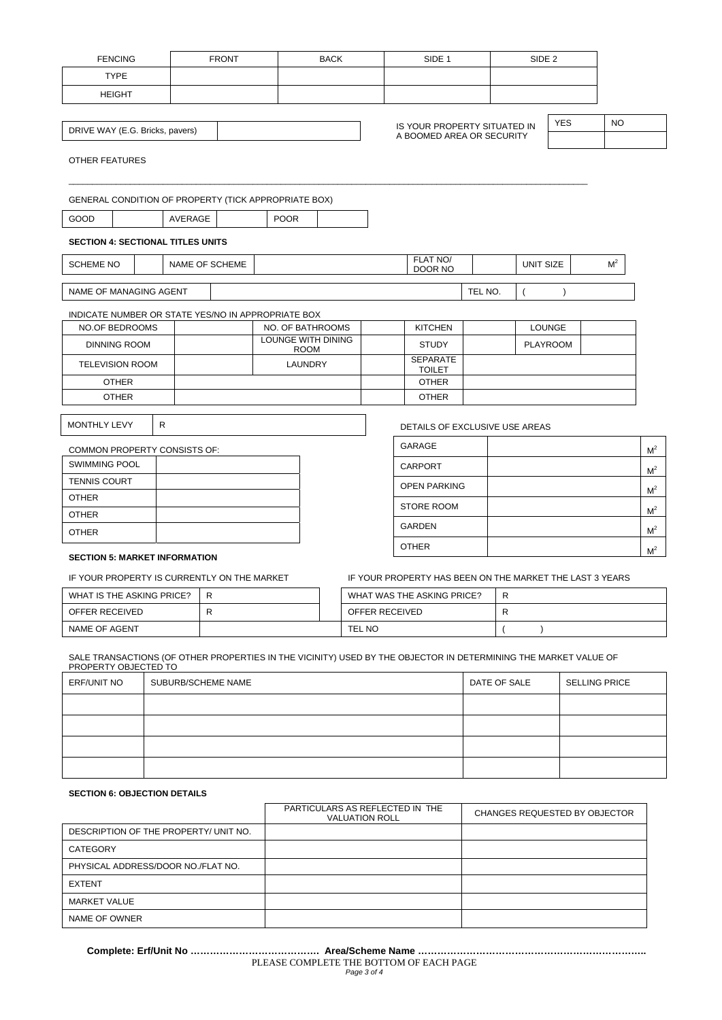|                                                    | <b>FENCING</b>         |                                                             | <b>FRONT</b> |                    | <b>BACK</b> |  |  | SIDE <sub>1</sub>                                        |         |  | SIDE <sub>2</sub> |                 |  |                |                |
|----------------------------------------------------|------------------------|-------------------------------------------------------------|--------------|--------------------|-------------|--|--|----------------------------------------------------------|---------|--|-------------------|-----------------|--|----------------|----------------|
|                                                    | <b>TYPE</b>            |                                                             |              |                    |             |  |  |                                                          |         |  |                   |                 |  |                |                |
|                                                    | <b>HEIGHT</b>          |                                                             |              |                    |             |  |  |                                                          |         |  |                   |                 |  |                |                |
|                                                    |                        |                                                             |              |                    |             |  |  |                                                          |         |  |                   |                 |  |                |                |
| DRIVE WAY (E.G. Bricks, pavers)                    |                        |                                                             |              |                    |             |  |  | IS YOUR PROPERTY SITUATED IN                             |         |  |                   | <b>YES</b>      |  | <b>NO</b>      |                |
| A BOOMED AREA OR SECURITY<br><b>OTHER FEATURES</b> |                        |                                                             |              |                    |             |  |  |                                                          |         |  |                   |                 |  |                |                |
|                                                    |                        | <b>GENERAL CONDITION OF PROPERTY (TICK APPROPRIATE BOX)</b> |              |                    |             |  |  |                                                          |         |  |                   |                 |  |                |                |
| GOOD                                               |                        | AVERAGE                                                     |              | <b>POOR</b>        |             |  |  |                                                          |         |  |                   |                 |  |                |                |
|                                                    |                        | <b>SECTION 4: SECTIONAL TITLES UNITS</b>                    |              |                    |             |  |  |                                                          |         |  |                   |                 |  |                |                |
| <b>SCHEME NO</b>                                   |                        | NAME OF SCHEME                                              |              |                    |             |  |  | FLAT NO/<br>DOOR NO                                      |         |  | UNIT SIZE         |                 |  | M <sup>2</sup> |                |
| NAME OF MANAGING AGENT                             |                        |                                                             |              |                    |             |  |  |                                                          | TEL NO. |  | $\overline{ }$    | $\lambda$       |  |                |                |
|                                                    |                        | INDICATE NUMBER OR STATE YES/NO IN APPROPRIATE BOX          |              |                    |             |  |  |                                                          |         |  |                   |                 |  |                |                |
|                                                    | NO.OF BEDROOMS         |                                                             |              | NO. OF BATHROOMS   |             |  |  | <b>KITCHEN</b>                                           |         |  |                   | <b>LOUNGE</b>   |  |                |                |
|                                                    | <b>DINNING ROOM</b>    |                                                             |              | LOUNGE WITH DINING | <b>ROOM</b> |  |  | <b>STUDY</b>                                             |         |  |                   | <b>PLAYROOM</b> |  |                |                |
|                                                    | <b>TELEVISION ROOM</b> |                                                             |              |                    | LAUNDRY     |  |  | <b>SEPARATE</b><br><b>TOILET</b>                         |         |  |                   |                 |  |                |                |
|                                                    | <b>OTHER</b>           |                                                             |              |                    |             |  |  | <b>OTHER</b>                                             |         |  |                   |                 |  |                |                |
|                                                    | <b>OTHER</b>           |                                                             |              |                    |             |  |  | <b>OTHER</b>                                             |         |  |                   |                 |  |                |                |
| MONTHLY LEVY                                       |                        | R                                                           |              |                    |             |  |  | DETAILS OF EXCLUSIVE USE AREAS                           |         |  |                   |                 |  |                |                |
|                                                    |                        | COMMON PROPERTY CONSISTS OF:                                |              |                    |             |  |  | <b>GARAGE</b>                                            |         |  |                   |                 |  |                | M <sup>2</sup> |
| <b>SWIMMING POOL</b>                               |                        |                                                             |              |                    |             |  |  | <b>CARPORT</b>                                           |         |  |                   |                 |  |                | M <sup>2</sup> |
| <b>TENNIS COURT</b>                                |                        |                                                             |              |                    |             |  |  | <b>OPEN PARKING</b>                                      |         |  |                   |                 |  |                |                |
| <b>OTHER</b>                                       |                        |                                                             |              |                    |             |  |  |                                                          |         |  |                   |                 |  |                | M <sup>2</sup> |
| <b>OTHER</b>                                       |                        |                                                             |              |                    |             |  |  | STORE ROOM                                               |         |  |                   |                 |  |                | M <sup>2</sup> |
| <b>OTHER</b>                                       |                        |                                                             |              |                    |             |  |  | <b>GARDEN</b>                                            |         |  |                   |                 |  |                | M <sup>2</sup> |
|                                                    |                        | <b>SECTION 5: MARKET INFORMATION</b>                        |              |                    |             |  |  | <b>OTHER</b>                                             |         |  |                   |                 |  |                | M <sup>2</sup> |
|                                                    |                        | IF YOUR PROPERTY IS CURRENTLY ON THE MARKET                 |              |                    |             |  |  | IF YOUR PROPERTY HAS BEEN ON THE MARKET THE LAST 3 YEARS |         |  |                   |                 |  |                |                |
|                                                    |                        |                                                             |              |                    |             |  |  |                                                          |         |  |                   |                 |  |                |                |

| WHAT IS THE ASKING PRICE? |  | WHAT WAS THE ASKING PRICE? | R |  |
|---------------------------|--|----------------------------|---|--|
| OFFER RECEIVED            |  | OFFER RECEIVED             |   |  |
| NAME OF AGENT             |  | <b>TEL NO</b>              |   |  |

SALE TRANSACTIONS (OF OTHER PROPERTIES IN THE VICINITY) USED BY THE OBJECTOR IN DETERMINING THE MARKET VALUE OF PROPERTY OBJECTED TO

| <b>ERF/UNIT NO</b> | SUBURB/SCHEME NAME | DATE OF SALE | <b>SELLING PRICE</b> |
|--------------------|--------------------|--------------|----------------------|
|                    |                    |              |                      |
|                    |                    |              |                      |
|                    |                    |              |                      |
|                    |                    |              |                      |

## **SECTION 6: OBJECTION DETAILS**

|                                       | PARTICULARS AS REFLECTED IN THE<br><b>VALUATION ROLL</b> | <b>CHANGES REQUESTED BY OBJECTOR</b> |
|---------------------------------------|----------------------------------------------------------|--------------------------------------|
| DESCRIPTION OF THE PROPERTY/ UNIT NO. |                                                          |                                      |
| CATEGORY                              |                                                          |                                      |
| PHYSICAL ADDRESS/DOOR NO./FLAT NO.    |                                                          |                                      |
| <b>EXTENT</b>                         |                                                          |                                      |
| <b>MARKET VALUE</b>                   |                                                          |                                      |
| NAME OF OWNER                         |                                                          |                                      |